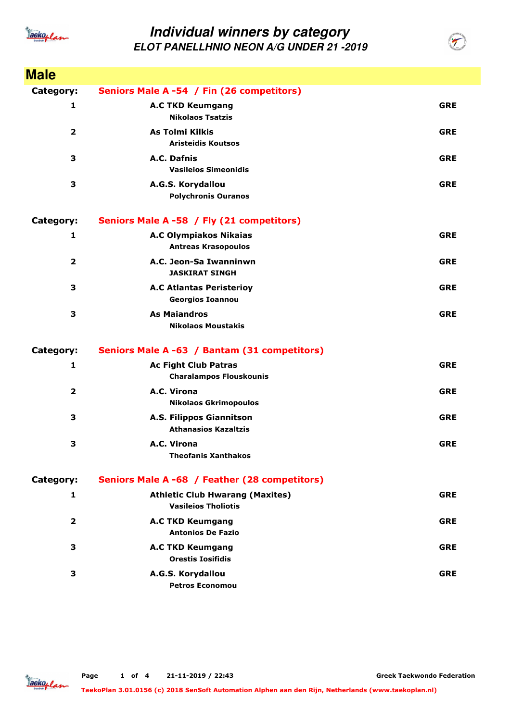

| <b>Male</b>             |                                                                      |            |
|-------------------------|----------------------------------------------------------------------|------------|
| Category:               | Seniors Male A -54 / Fin (26 competitors)                            |            |
| 1                       | <b>A.C TKD Keumgang</b><br><b>Nikolaos Tsatzis</b>                   | <b>GRE</b> |
| $\overline{2}$          | <b>As Tolmi Kilkis</b><br><b>Aristeidis Koutsos</b>                  | <b>GRE</b> |
| 3                       | A.C. Dafnis<br><b>Vasileios Simeonidis</b>                           | <b>GRE</b> |
| 3                       | A.G.S. Korydallou<br><b>Polychronis Ouranos</b>                      | <b>GRE</b> |
| Category:               | Seniors Male A -58 / Fly (21 competitors)                            |            |
| 1                       | <b>A.C Olympiakos Nikaias</b><br><b>Antreas Krasopoulos</b>          | <b>GRE</b> |
| $\overline{\mathbf{2}}$ | A.C. Jeon-Sa Iwanninwn<br><b>JASKIRAT SINGH</b>                      | <b>GRE</b> |
| 3                       | <b>A.C Atlantas Peristerioy</b><br><b>Georgios Ioannou</b>           | <b>GRE</b> |
| 3                       | <b>As Maiandros</b><br><b>Nikolaos Moustakis</b>                     | <b>GRE</b> |
| Category:               | Seniors Male A -63 / Bantam (31 competitors)                         |            |
| $\mathbf{1}$            | <b>Ac Fight Club Patras</b><br><b>Charalampos Flouskounis</b>        | <b>GRE</b> |
| $\overline{\mathbf{2}}$ | A.C. Virona<br><b>Nikolaos Gkrimopoulos</b>                          | <b>GRE</b> |
| 3                       | A.S. Filippos Giannitson<br><b>Athanasios Kazaltzis</b>              | <b>GRE</b> |
| 3                       | A.C. Virona<br><b>Theofanis Xanthakos</b>                            | <b>GRE</b> |
| Category:               | Seniors Male A -68 / Feather (28 competitors)                        |            |
| 1                       | <b>Athletic Club Hwarang (Maxites)</b><br><b>Vasileios Tholiotis</b> | <b>GRE</b> |
| $\overline{\mathbf{2}}$ | <b>A.C TKD Keumgang</b><br><b>Antonios De Fazio</b>                  | <b>GRE</b> |
| 3                       | <b>A.C TKD Keumgang</b><br><b>Orestis Iosifidis</b>                  | <b>GRE</b> |
| 3                       | A.G.S. Korydallou<br><b>Petros Economou</b>                          | <b>GRE</b> |

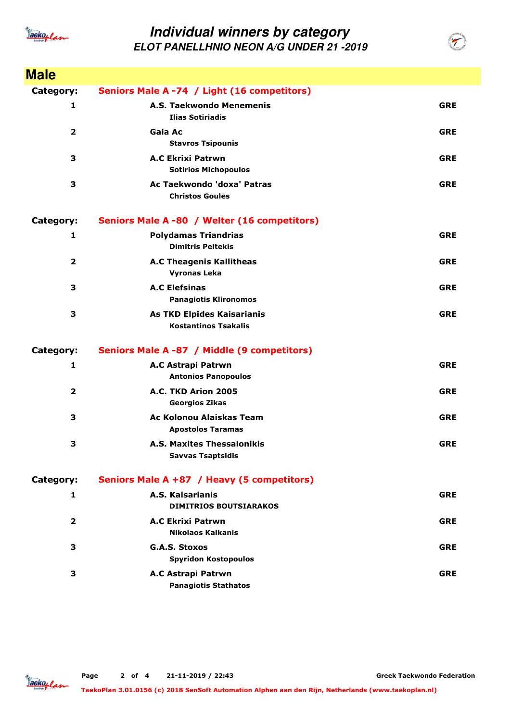

| <b>Male</b>             |                                                           |            |
|-------------------------|-----------------------------------------------------------|------------|
| Category:               | Seniors Male A -74 / Light (16 competitors)               |            |
| 1                       | A.S. Taekwondo Menemenis<br><b>Ilias Sotiriadis</b>       | <b>GRE</b> |
| $\overline{\mathbf{2}}$ | Gaia Ac<br><b>Stavros Tsipounis</b>                       | <b>GRE</b> |
| 3                       | <b>A.C Ekrixi Patrwn</b><br><b>Sotirios Michopoulos</b>   | <b>GRE</b> |
| 3                       | Ac Taekwondo 'doxa' Patras<br><b>Christos Goules</b>      | <b>GRE</b> |
| Category:               | Seniors Male A -80 / Welter (16 competitors)              |            |
| 1                       | <b>Polydamas Triandrias</b><br><b>Dimitris Peltekis</b>   | <b>GRE</b> |
| $\overline{\mathbf{2}}$ | <b>A.C Theagenis Kallitheas</b><br><b>Vyronas Leka</b>    | <b>GRE</b> |
| 3                       | <b>A.C Elefsinas</b><br><b>Panagiotis Klironomos</b>      | <b>GRE</b> |
| 3                       | As TKD Elpides Kaisarianis<br><b>Kostantinos Tsakalis</b> | <b>GRE</b> |
| Category:               | Seniors Male A -87 / Middle (9 competitors)               |            |
| 1                       | A.C Astrapi Patrwn<br><b>Antonios Panopoulos</b>          | <b>GRE</b> |
| 2                       | A.C. TKD Arion 2005<br><b>Georgios Zikas</b>              | <b>GRE</b> |
| 3                       | Ac Kolonou Alaiskas Team<br><b>Apostolos Taramas</b>      | <b>GRE</b> |
| 3                       | A.S. Maxites Thessalonikis<br><b>Savvas Tsaptsidis</b>    | <b>GRE</b> |
| Category:               | Seniors Male A +87 / Heavy (5 competitors)                |            |
| 1                       | A.S. Kaisarianis<br><b>DIMITRIOS BOUTSIARAKOS</b>         | <b>GRE</b> |
| $\overline{2}$          | <b>A.C Ekrixi Patrwn</b><br>Nikolaos Kalkanis             | <b>GRE</b> |
| 3                       | <b>G.A.S. Stoxos</b><br><b>Spyridon Kostopoulos</b>       | <b>GRE</b> |
| 3                       | A.C Astrapi Patrwn<br><b>Panagiotis Stathatos</b>         | <b>GRE</b> |

**Greek Taekwondo Federation**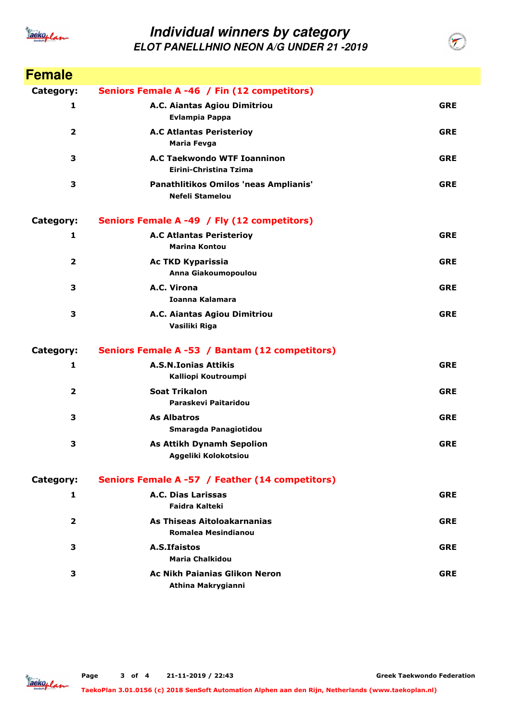

| <b>Female</b>           |                                                                 |            |
|-------------------------|-----------------------------------------------------------------|------------|
| Category:               | Seniors Female A -46 / Fin (12 competitors)                     |            |
| 1                       | A.C. Aiantas Agiou Dimitriou<br><b>Evlampia Pappa</b>           | <b>GRE</b> |
| $\overline{2}$          | <b>A.C Atlantas Peristerioy</b><br><b>Maria Fevga</b>           | <b>GRE</b> |
| 3                       | A.C Taekwondo WTF Ioanninon<br>Eirini-Christina Tzima           | <b>GRE</b> |
| 3                       | Panathlitikos Omilos 'neas Amplianis'<br><b>Nefeli Stamelou</b> | <b>GRE</b> |
| Category:               | Seniors Female A -49 / Fly (12 competitors)                     |            |
| 1                       | <b>A.C Atlantas Peristerioy</b><br><b>Marina Kontou</b>         | <b>GRE</b> |
| $\overline{\mathbf{2}}$ | <b>Ac TKD Kyparissia</b><br>Anna Giakoumopoulou                 | <b>GRE</b> |
| 3                       | A.C. Virona<br>Ioanna Kalamara                                  | <b>GRE</b> |
| 3                       | A.C. Aiantas Agiou Dimitriou<br>Vasiliki Riga                   | <b>GRE</b> |
| Category:               | Seniors Female A -53 / Bantam (12 competitors)                  |            |
| 1                       | <b>A.S.N.Ionias Attikis</b><br>Kalliopi Koutroumpi              | <b>GRE</b> |
| $\overline{\mathbf{2}}$ | <b>Soat Trikalon</b><br>Paraskevi Paitaridou                    | <b>GRE</b> |
| 3                       | As Albatros<br>Smaragda Panagiotidou                            | <b>GRE</b> |
| з                       | <b>As Attikh Dynamh Sepolion</b><br>Aggeliki Kolokotsiou        | <b>GRE</b> |
| Category:               | Seniors Female A -57 / Feather (14 competitors)                 |            |
| 1                       | A.C. Dias Larissas<br><b>Faidra Kalteki</b>                     | <b>GRE</b> |
| $\overline{\mathbf{2}}$ | As Thiseas Aitoloakarnanias<br><b>Romalea Mesindianou</b>       | <b>GRE</b> |
| 3                       | A.S. Ifaistos<br><b>Maria Chalkidou</b>                         | <b>GRE</b> |
| 3                       | <b>Ac Nikh Paianias Glikon Neron</b><br>Athina Makrygianni      | <b>GRE</b> |